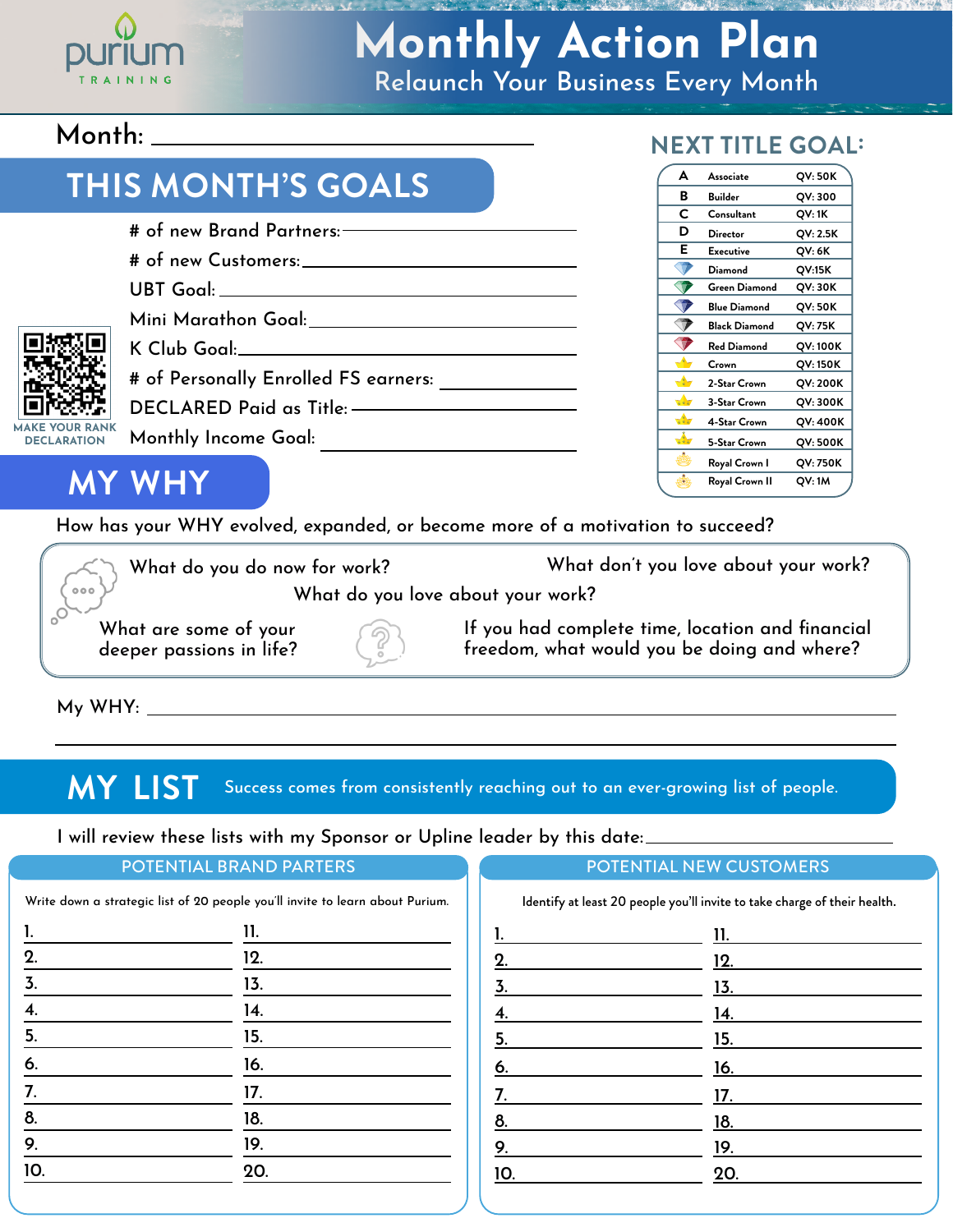

## Relaunch Your Business Every Month **Monthly Action Plan**

### Month:

### **THIS MONTH'S GOALS**

| # of new Brand Partners: ———————— |                                                 |  |  |  |
|-----------------------------------|-------------------------------------------------|--|--|--|
|                                   |                                                 |  |  |  |
|                                   | UBT Goal: ________________________              |  |  |  |
|                                   | Mini Marathon Goal: University of Mini Marathon |  |  |  |
|                                   |                                                 |  |  |  |
|                                   |                                                 |  |  |  |
|                                   |                                                 |  |  |  |
|                                   | Monthly Income Goal:                            |  |  |  |
|                                   |                                                 |  |  |  |

#### **NEXT TITLE GOAL:**

| A             | Associate            | QV: 50K  |
|---------------|----------------------|----------|
| в             | <b>Builder</b>       | QV: 300  |
| C             | Consultant           | QV: 1K   |
| D             | Director             | QV: 2.5K |
| Е             | Executive            | QV: 6K   |
|               | Diamond              | QV:15K   |
|               | <b>Green Diamond</b> | QV: 30K  |
|               | <b>Blue Diamond</b>  | QV: 50K  |
|               | <b>Black Diamond</b> | QV: 75K  |
|               | Red Diamond          | QV: 100K |
|               | Crown                | QV: 150K |
| d-            | 2-Star Crown         | QV: 200K |
| マップ           | 3-Star Crown         | QV: 300K |
| $\sqrt{2}$    | 4-Star Crown         | QV: 400K |
| $\frac{1}{2}$ | 5-Star Crown         | QV: 500K |
|               | Royal Crown I        | QV: 750K |
| ò.            | Royal Crown II       | QV: 1M   |
|               |                      |          |

**MY WHY**

**MAKE YOUR RAN DECLARATION**

O<sub>o</sub>

How has your WHY evolved, expanded, or become more of a motivation to succeed?

What don't you love about your work? What do you do now for work?  $000$ What do you love about your work?

What are some of your deeper passions in life?

If you had complete time, location and financial freedom, what would you be doing and where?

My WHY:

**MY LIST** Success comes from consistently reaching out to an ever-growing list of people.

I will review these lists with my Sponsor or Upline leader by this date:

| POTENTIAL BRAND PARTERS<br>Write down a strategic list of 20 people you'll invite to learn about Purium. |     | POTENTIAL NEW CUSTOMERS<br>Identify at least 20 people you'll invite to take charge of their health. |     |
|----------------------------------------------------------------------------------------------------------|-----|------------------------------------------------------------------------------------------------------|-----|
|                                                                                                          |     |                                                                                                      |     |
| 2.                                                                                                       | 12. |                                                                                                      | 12. |
|                                                                                                          | 13. |                                                                                                      | 13. |
|                                                                                                          | 14. |                                                                                                      | 14. |
| 5.                                                                                                       | 15. | 5.                                                                                                   | 15. |
| 6.                                                                                                       | 16. | 6.                                                                                                   | 16. |
|                                                                                                          | 17. |                                                                                                      | 17. |
| 8.                                                                                                       | 18. | 8.                                                                                                   | 18. |
| 9.                                                                                                       | 19. | 9.                                                                                                   | 19. |
| 10.                                                                                                      | 20. | 10.                                                                                                  | 20. |